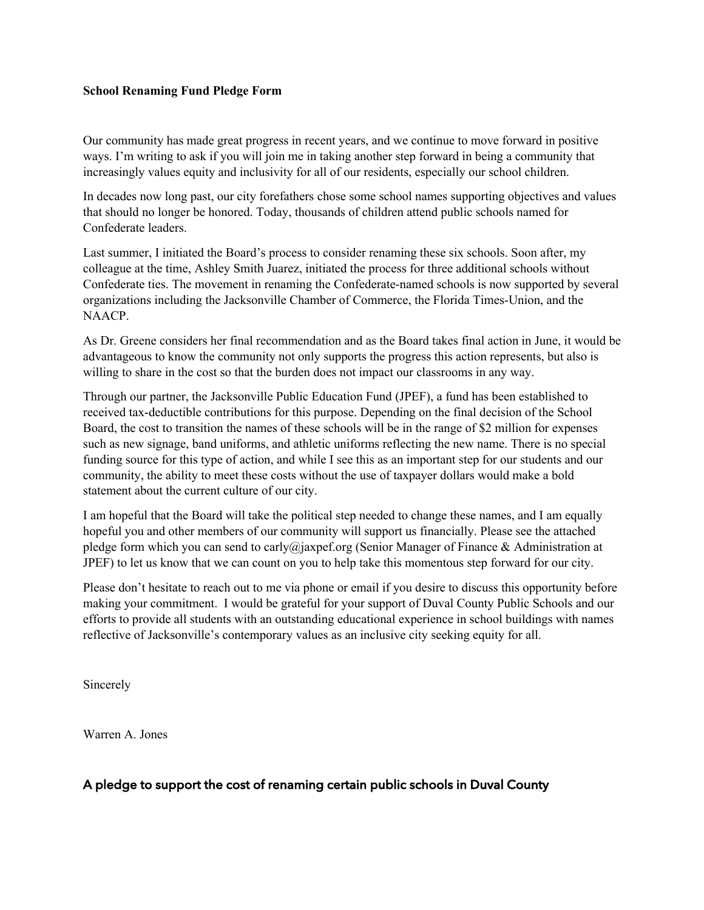## **School Renaming Fund Pledge Form**

Our community has made great progress in recent years, and we continue to move forward in positive ways. I'm writing to ask if you will join me in taking another step forward in being a community that increasingly values equity and inclusivity for all of our residents, especially our school children.

In decades now long past, our city forefathers chose some school names supporting objectives and values that should no longer be honored. Today, thousands of children attend public schools named for Confederate leaders.

Last summer, I initiated the Board's process to consider renaming these six schools. Soon after, my colleague at the time, Ashley Smith Juarez, initiated the process for three additional schools without Confederate ties. The movement in renaming the Confederate-named schools is now supported by several organizations including the Jacksonville Chamber of Commerce, the Florida Times-Union, and the NAACP.

As Dr. Greene considers her final recommendation and as the Board takes final action in June, it would be advantageous to know the community not only supports the progress this action represents, but also is willing to share in the cost so that the burden does not impact our classrooms in any way.

Through our partner, the Jacksonville Public Education Fund (JPEF), a fund has been established to received tax-deductible contributions for this purpose. Depending on the final decision of the School Board, the cost to transition the names of these schools will be in the range of \$2 million for expenses such as new signage, band uniforms, and athletic uniforms reflecting the new name. There is no special funding source for this type of action, and while I see this as an important step for our students and our community, the ability to meet these costs without the use of taxpayer dollars would make a bold statement about the current culture of our city.

I am hopeful that the Board will take the political step needed to change these names, and I am equally hopeful you and other members of our community will support us financially. Please see the attached pledge form which you can send to carly@jaxpef.org (Senior Manager of Finance & Administration at JPEF) to let us know that we can count on you to help take this momentous step forward for our city.

Please don't hesitate to reach out to me via phone or email if you desire to discuss this opportunity before making your commitment. I would be grateful for your support of Duval County Public Schools and our efforts to provide all students with an outstanding educational experience in school buildings with names reflective of Jacksonville's contemporary values as an inclusive city seeking equity for all.

Sincerely

Warren A. Jones

## A pledge to support the cost of renaming certain public schools in Duval County